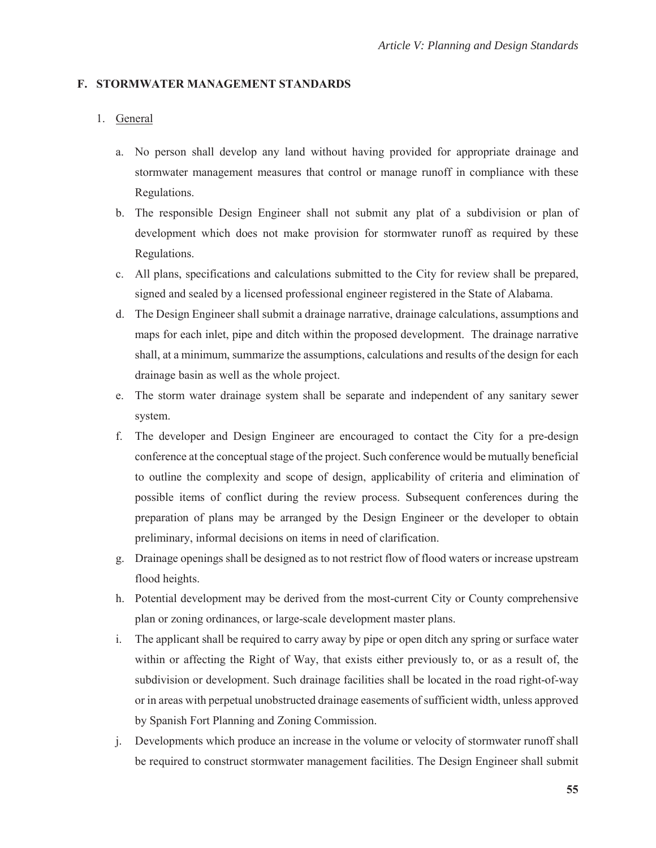#### **F. STORMWATER MANAGEMENT STANDARDS**

## 1. General

- a. No person shall develop any land without having provided for appropriate drainage and stormwater management measures that control or manage runoff in compliance with these Regulations.
- b. The responsible Design Engineer shall not submit any plat of a subdivision or plan of development which does not make provision for stormwater runoff as required by these Regulations.
- c. All plans, specifications and calculations submitted to the City for review shall be prepared, signed and sealed by a licensed professional engineer registered in the State of Alabama.
- d. The Design Engineer shall submit a drainage narrative, drainage calculations, assumptions and maps for each inlet, pipe and ditch within the proposed development. The drainage narrative shall, at a minimum, summarize the assumptions, calculations and results of the design for each drainage basin as well as the whole project.
- e. The storm water drainage system shall be separate and independent of any sanitary sewer system.
- f. The developer and Design Engineer are encouraged to contact the City for a pre-design conference at the conceptual stage of the project. Such conference would be mutually beneficial to outline the complexity and scope of design, applicability of criteria and elimination of possible items of conflict during the review process. Subsequent conferences during the preparation of plans may be arranged by the Design Engineer or the developer to obtain preliminary, informal decisions on items in need of clarification.
- g. Drainage openings shall be designed as to not restrict flow of flood waters or increase upstream flood heights.
- h. Potential development may be derived from the most-current City or County comprehensive plan or zoning ordinances, or large-scale development master plans.
- i. The applicant shall be required to carry away by pipe or open ditch any spring or surface water within or affecting the Right of Way, that exists either previously to, or as a result of, the subdivision or development. Such drainage facilities shall be located in the road right-of-way or in areas with perpetual unobstructed drainage easements of sufficient width, unless approved by Spanish Fort Planning and Zoning Commission.
- j. Developments which produce an increase in the volume or velocity of stormwater runoff shall be required to construct stormwater management facilities. The Design Engineer shall submit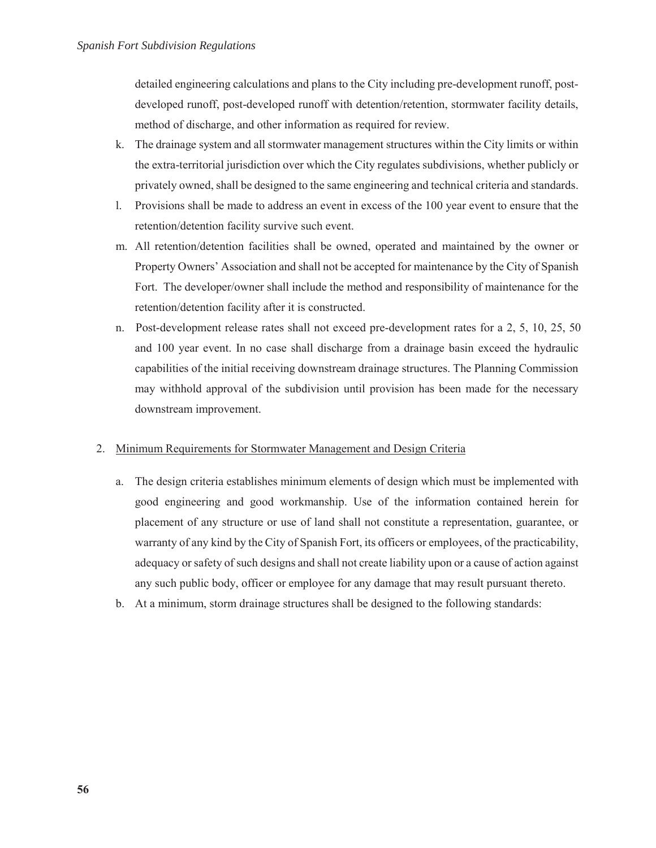detailed engineering calculations and plans to the City including pre-development runoff, postdeveloped runoff, post-developed runoff with detention/retention, stormwater facility details, method of discharge, and other information as required for review.

- k. The drainage system and all stormwater management structures within the City limits or within the extra-territorial jurisdiction over which the City regulates subdivisions, whether publicly or privately owned, shall be designed to the same engineering and technical criteria and standards.
- l. Provisions shall be made to address an event in excess of the 100 year event to ensure that the retention/detention facility survive such event.
- m. All retention/detention facilities shall be owned, operated and maintained by the owner or Property Owners' Association and shall not be accepted for maintenance by the City of Spanish Fort. The developer/owner shall include the method and responsibility of maintenance for the retention/detention facility after it is constructed.
- n. Post-development release rates shall not exceed pre-development rates for a 2, 5, 10, 25, 50 and 100 year event. In no case shall discharge from a drainage basin exceed the hydraulic capabilities of the initial receiving downstream drainage structures. The Planning Commission may withhold approval of the subdivision until provision has been made for the necessary downstream improvement.

# 2. Minimum Requirements for Stormwater Management and Design Criteria

- a. The design criteria establishes minimum elements of design which must be implemented with good engineering and good workmanship. Use of the information contained herein for placement of any structure or use of land shall not constitute a representation, guarantee, or warranty of any kind by the City of Spanish Fort, its officers or employees, of the practicability, adequacy or safety of such designs and shall not create liability upon or a cause of action against any such public body, officer or employee for any damage that may result pursuant thereto.
- b. At a minimum, storm drainage structures shall be designed to the following standards: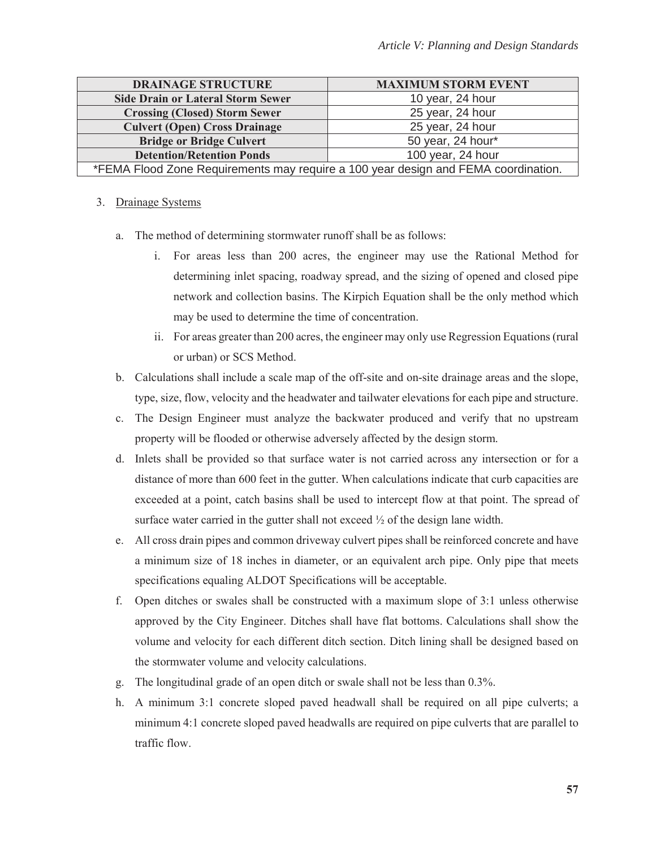| <b>DRAINAGE STRUCTURE</b>                                                          | <b>MAXIMUM STORM EVENT</b> |
|------------------------------------------------------------------------------------|----------------------------|
| <b>Side Drain or Lateral Storm Sewer</b>                                           | 10 year, 24 hour           |
| <b>Crossing (Closed) Storm Sewer</b>                                               | 25 year, 24 hour           |
| <b>Culvert (Open) Cross Drainage</b>                                               | 25 year, 24 hour           |
| <b>Bridge or Bridge Culvert</b>                                                    | 50 year, 24 hour*          |
| <b>Detention/Retention Ponds</b>                                                   | 100 year, 24 hour          |
| *FEMA Flood Zone Requirements may require a 100 year design and FEMA coordination. |                            |

# 3. Drainage Systems

- a. The method of determining stormwater runoff shall be as follows:
	- i. For areas less than 200 acres, the engineer may use the Rational Method for determining inlet spacing, roadway spread, and the sizing of opened and closed pipe network and collection basins. The Kirpich Equation shall be the only method which may be used to determine the time of concentration.
	- ii. For areas greater than 200 acres, the engineer may only use Regression Equations (rural or urban) or SCS Method.
- b. Calculations shall include a scale map of the off-site and on-site drainage areas and the slope, type, size, flow, velocity and the headwater and tailwater elevations for each pipe and structure.
- c. The Design Engineer must analyze the backwater produced and verify that no upstream property will be flooded or otherwise adversely affected by the design storm.
- d. Inlets shall be provided so that surface water is not carried across any intersection or for a distance of more than 600 feet in the gutter. When calculations indicate that curb capacities are exceeded at a point, catch basins shall be used to intercept flow at that point. The spread of surface water carried in the gutter shall not exceed ½ of the design lane width.
- e. All cross drain pipes and common driveway culvert pipes shall be reinforced concrete and have a minimum size of 18 inches in diameter, or an equivalent arch pipe. Only pipe that meets specifications equaling ALDOT Specifications will be acceptable.
- f. Open ditches or swales shall be constructed with a maximum slope of 3:1 unless otherwise approved by the City Engineer. Ditches shall have flat bottoms. Calculations shall show the volume and velocity for each different ditch section. Ditch lining shall be designed based on the stormwater volume and velocity calculations.
- g. The longitudinal grade of an open ditch or swale shall not be less than 0.3%.
- h. A minimum 3:1 concrete sloped paved headwall shall be required on all pipe culverts; a minimum 4:1 concrete sloped paved headwalls are required on pipe culverts that are parallel to traffic flow.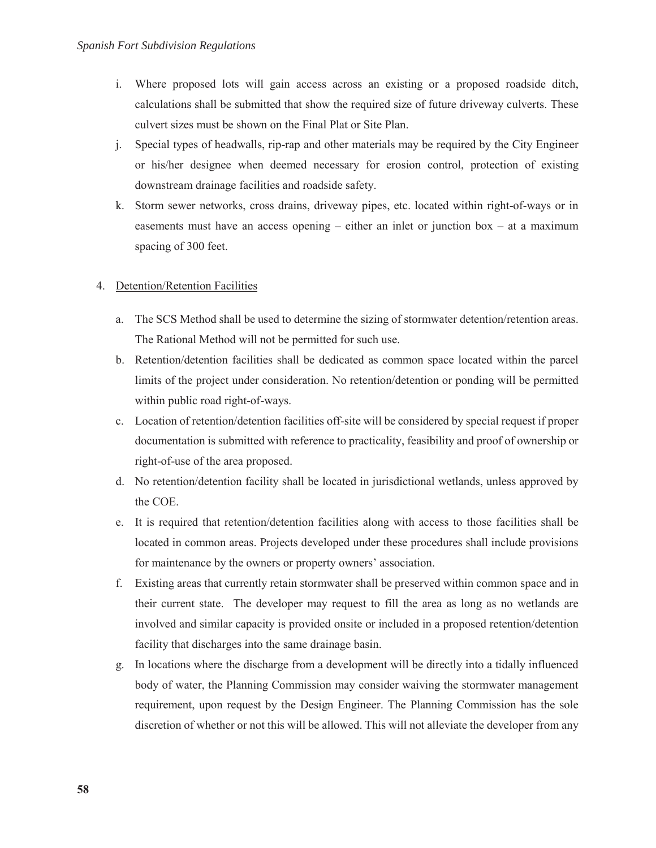- i. Where proposed lots will gain access across an existing or a proposed roadside ditch, calculations shall be submitted that show the required size of future driveway culverts. These culvert sizes must be shown on the Final Plat or Site Plan.
- j. Special types of headwalls, rip-rap and other materials may be required by the City Engineer or his/her designee when deemed necessary for erosion control, protection of existing downstream drainage facilities and roadside safety.
- k. Storm sewer networks, cross drains, driveway pipes, etc. located within right-of-ways or in easements must have an access opening – either an inlet or junction box – at a maximum spacing of 300 feet.

# 4. Detention/Retention Facilities

- a. The SCS Method shall be used to determine the sizing of stormwater detention/retention areas. The Rational Method will not be permitted for such use.
- b. Retention/detention facilities shall be dedicated as common space located within the parcel limits of the project under consideration. No retention/detention or ponding will be permitted within public road right-of-ways.
- c. Location of retention/detention facilities off-site will be considered by special request if proper documentation is submitted with reference to practicality, feasibility and proof of ownership or right-of-use of the area proposed.
- d. No retention/detention facility shall be located in jurisdictional wetlands, unless approved by the COE.
- e. It is required that retention/detention facilities along with access to those facilities shall be located in common areas. Projects developed under these procedures shall include provisions for maintenance by the owners or property owners' association.
- f. Existing areas that currently retain stormwater shall be preserved within common space and in their current state. The developer may request to fill the area as long as no wetlands are involved and similar capacity is provided onsite or included in a proposed retention/detention facility that discharges into the same drainage basin.
- g. In locations where the discharge from a development will be directly into a tidally influenced body of water, the Planning Commission may consider waiving the stormwater management requirement, upon request by the Design Engineer. The Planning Commission has the sole discretion of whether or not this will be allowed. This will not alleviate the developer from any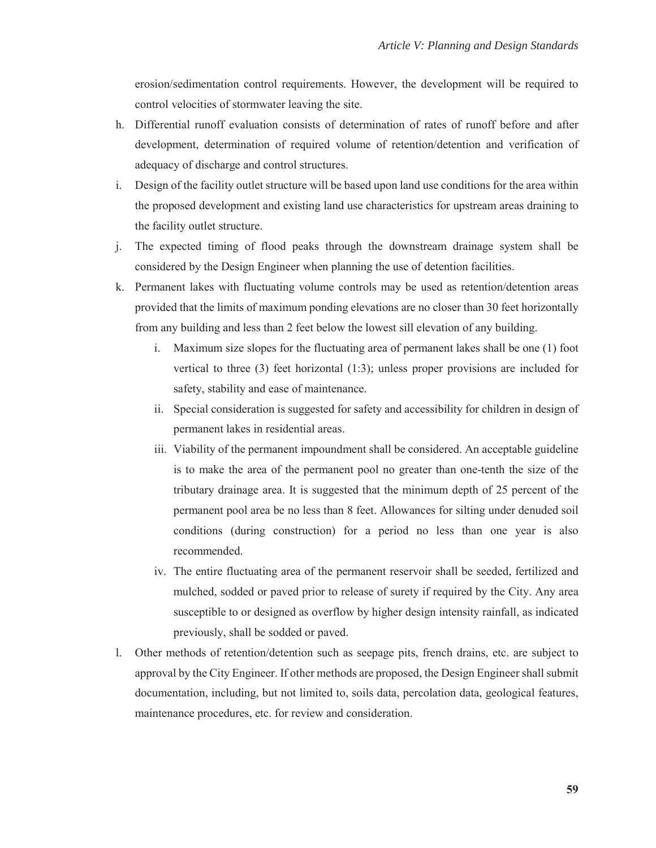erosion/sedimentation control requirements. However, the development will be required to control velocities of stormwater leaving the site.

- h. Differential runoff evaluation consists of determination of rates of runoff before and after development, determination of required volume of retention/detention and verification of adequacy of discharge and control structures.
- i. Design of the facility outlet structure will be based upon land use conditions for the area within the proposed development and existing land use characteristics for upstream areas draining to the facility outlet structure.
- j. The expected timing of flood peaks through the downstream drainage system shall be considered by the Design Engineer when planning the use of detention facilities.
- k. Permanent lakes with fluctuating volume controls may be used as retention/detention areas provided that the limits of maximum ponding elevations are no closer than 30 feet horizontally from any building and less than 2 feet below the lowest sill elevation of any building.
	- i. Maximum size slopes for the fluctuating area of permanent lakes shall be one (1) foot vertical to three (3) feet horizontal (1:3); unless proper provisions are included for safety, stability and ease of maintenance.
	- ii. Special consideration is suggested for safety and accessibility for children in design of permanent lakes in residential areas.
	- iii. Viability of the permanent impoundment shall be considered. An acceptable guideline is to make the area of the permanent pool no greater than one-tenth the size of the tributary drainage area. It is suggested that the minimum depth of 25 percent of the permanent pool area be no less than 8 feet. Allowances for silting under denuded soil conditions (during construction) for a period no less than one year is also recommended.
	- iv. The entire fluctuating area of the permanent reservoir shall be seeded, fertilized and mulched, sodded or paved prior to release of surety if required by the City. Any area susceptible to or designed as overflow by higher design intensity rainfall, as indicated previously, shall be sodded or paved.
- l. Other methods of retention/detention such as seepage pits, french drains, etc. are subject to approval by the City Engineer. If other methods are proposed, the Design Engineer shall submit documentation, including, but not limited to, soils data, percolation data, geological features, maintenance procedures, etc. for review and consideration.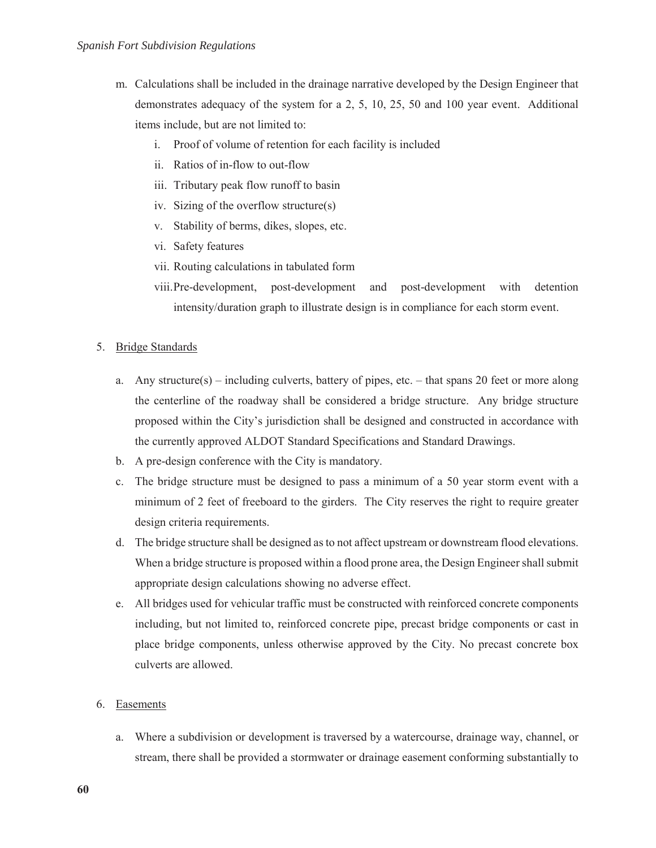- m. Calculations shall be included in the drainage narrative developed by the Design Engineer that demonstrates adequacy of the system for a 2, 5, 10, 25, 50 and 100 year event. Additional items include, but are not limited to:
	- i. Proof of volume of retention for each facility is included
	- ii. Ratios of in-flow to out-flow
	- iii. Tributary peak flow runoff to basin
	- iv. Sizing of the overflow structure(s)
	- v. Stability of berms, dikes, slopes, etc.
	- vi. Safety features
	- vii. Routing calculations in tabulated form
	- viii.Pre-development, post-development and post-development with detention intensity/duration graph to illustrate design is in compliance for each storm event.
- 5. Bridge Standards
	- a. Any structure(s) including culverts, battery of pipes, etc. that spans 20 feet or more along the centerline of the roadway shall be considered a bridge structure. Any bridge structure proposed within the City's jurisdiction shall be designed and constructed in accordance with the currently approved ALDOT Standard Specifications and Standard Drawings.
	- b. A pre-design conference with the City is mandatory.
	- c. The bridge structure must be designed to pass a minimum of a 50 year storm event with a minimum of 2 feet of freeboard to the girders. The City reserves the right to require greater design criteria requirements.
	- d. The bridge structure shall be designed as to not affect upstream or downstream flood elevations. When a bridge structure is proposed within a flood prone area, the Design Engineer shall submit appropriate design calculations showing no adverse effect.
	- e. All bridges used for vehicular traffic must be constructed with reinforced concrete components including, but not limited to, reinforced concrete pipe, precast bridge components or cast in place bridge components, unless otherwise approved by the City. No precast concrete box culverts are allowed.
- 6. Easements
	- a. Where a subdivision or development is traversed by a watercourse, drainage way, channel, or stream, there shall be provided a stormwater or drainage easement conforming substantially to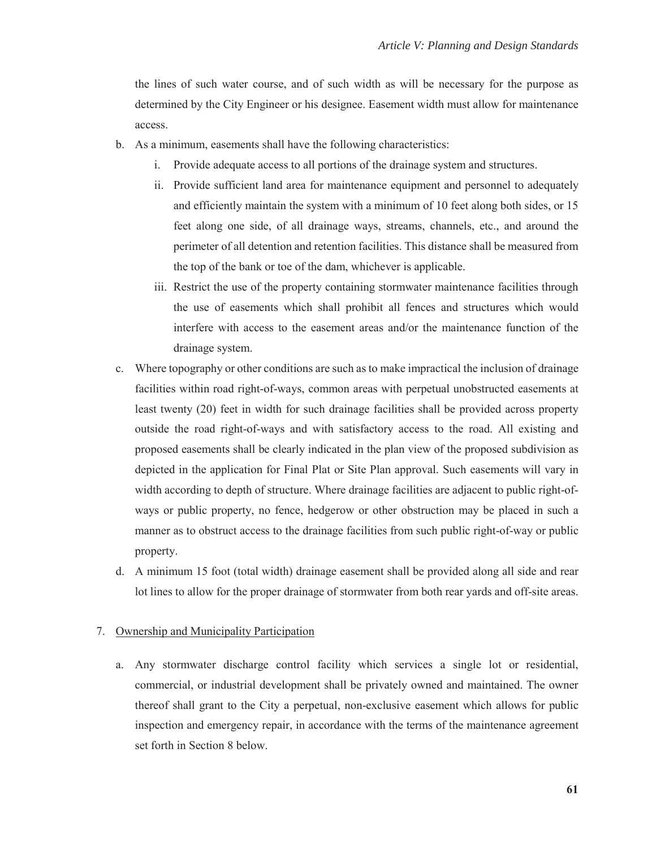the lines of such water course, and of such width as will be necessary for the purpose as determined by the City Engineer or his designee. Easement width must allow for maintenance access.

- b. As a minimum, easements shall have the following characteristics:
	- i. Provide adequate access to all portions of the drainage system and structures.
	- ii. Provide sufficient land area for maintenance equipment and personnel to adequately and efficiently maintain the system with a minimum of 10 feet along both sides, or 15 feet along one side, of all drainage ways, streams, channels, etc., and around the perimeter of all detention and retention facilities. This distance shall be measured from the top of the bank or toe of the dam, whichever is applicable.
	- iii. Restrict the use of the property containing stormwater maintenance facilities through the use of easements which shall prohibit all fences and structures which would interfere with access to the easement areas and/or the maintenance function of the drainage system.
- c. Where topography or other conditions are such as to make impractical the inclusion of drainage facilities within road right-of-ways, common areas with perpetual unobstructed easements at least twenty (20) feet in width for such drainage facilities shall be provided across property outside the road right-of-ways and with satisfactory access to the road. All existing and proposed easements shall be clearly indicated in the plan view of the proposed subdivision as depicted in the application for Final Plat or Site Plan approval. Such easements will vary in width according to depth of structure. Where drainage facilities are adjacent to public right-ofways or public property, no fence, hedgerow or other obstruction may be placed in such a manner as to obstruct access to the drainage facilities from such public right-of-way or public property.
- d. A minimum 15 foot (total width) drainage easement shall be provided along all side and rear lot lines to allow for the proper drainage of stormwater from both rear yards and off-site areas.

## 7. Ownership and Municipality Participation

a. Any stormwater discharge control facility which services a single lot or residential, commercial, or industrial development shall be privately owned and maintained. The owner thereof shall grant to the City a perpetual, non-exclusive easement which allows for public inspection and emergency repair, in accordance with the terms of the maintenance agreement set forth in Section 8 below.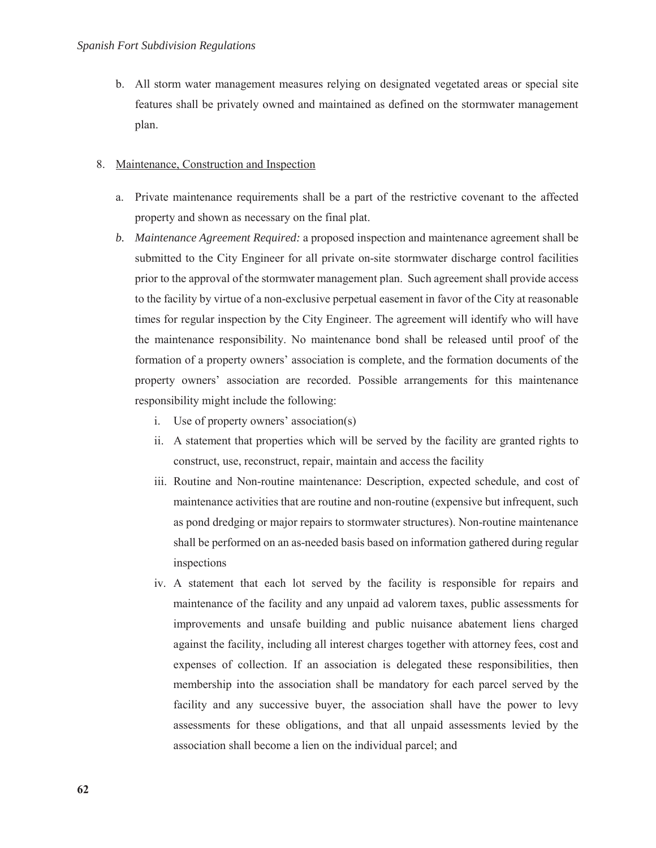b. All storm water management measures relying on designated vegetated areas or special site features shall be privately owned and maintained as defined on the stormwater management plan.

# 8. Maintenance, Construction and Inspection

- a. Private maintenance requirements shall be a part of the restrictive covenant to the affected property and shown as necessary on the final plat.
- *b. Maintenance Agreement Required:* a proposed inspection and maintenance agreement shall be submitted to the City Engineer for all private on-site stormwater discharge control facilities prior to the approval of the stormwater management plan. Such agreement shall provide access to the facility by virtue of a non-exclusive perpetual easement in favor of the City at reasonable times for regular inspection by the City Engineer. The agreement will identify who will have the maintenance responsibility. No maintenance bond shall be released until proof of the formation of a property owners' association is complete, and the formation documents of the property owners' association are recorded. Possible arrangements for this maintenance responsibility might include the following:
	- i. Use of property owners' association(s)
	- ii. A statement that properties which will be served by the facility are granted rights to construct, use, reconstruct, repair, maintain and access the facility
	- iii. Routine and Non-routine maintenance: Description, expected schedule, and cost of maintenance activities that are routine and non-routine (expensive but infrequent, such as pond dredging or major repairs to stormwater structures). Non-routine maintenance shall be performed on an as-needed basis based on information gathered during regular inspections
	- iv. A statement that each lot served by the facility is responsible for repairs and maintenance of the facility and any unpaid ad valorem taxes, public assessments for improvements and unsafe building and public nuisance abatement liens charged against the facility, including all interest charges together with attorney fees, cost and expenses of collection. If an association is delegated these responsibilities, then membership into the association shall be mandatory for each parcel served by the facility and any successive buyer, the association shall have the power to levy assessments for these obligations, and that all unpaid assessments levied by the association shall become a lien on the individual parcel; and